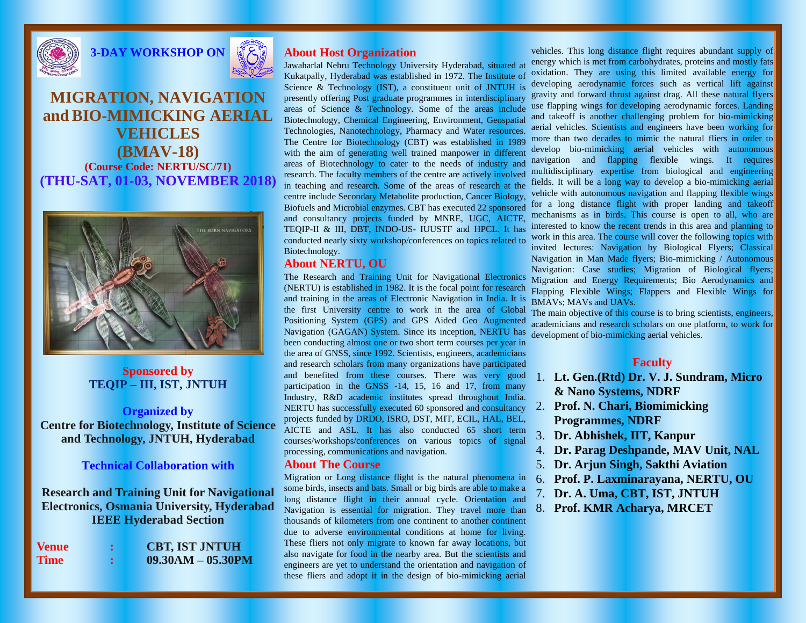



## **MIGRATION, NAVIGATION and BIO-MIMICKING AERIAL VEHICLES (BMAV-18) (Course Code: NERTU/SC/71) (THU-SAT, 01-03, NOVEMBER 2018)**



### **Sponsored by TEQIP – III, IST, JNTUH**

#### **Organized by**

**Centre for Biotechnology, Institute of Science and Technology, JNTUH, Hyderabad**

#### **Technical Collaboration with**

**Research and Training Unit for Navigational Electronics, Osmania University, Hyderabad IEEE Hyderabad Section**

| <b>Venue</b> | <b>CBT, IST JNTUH</b> |
|--------------|-----------------------|
| <b>Time</b>  | $09.30AM - 05.30PM$   |

### **About Host Organization**

Jawaharlal Nehru Technology University Hyderabad, situated at Kukatpally, Hyderabad was established in 1972. The Institute of Science & Technology (IST), a constituent unit of JNTUH is presently offering Post graduate programmes in interdisciplinary gravity and forward thrust against drag. All these natural flyers areas of Science & Technology. Some of the areas include Biotechnology, Chemical Engineering, Environment, Geospatial Technologies, Nanotechnology, Pharmacy and Water resources. The Centre for Biotechnology (CBT) was established in 1989 with the aim of generating well trained manpower in different develop bio-mimicking aerial vehicles with autonomous areas of Biotechnology to cater to the needs of industry and research. The faculty members of the centre are actively involved in teaching and research. Some of the areas of research at the centre include Secondary Metabolite production, Cancer Biology, Biofuels and Microbial enzymes. CBT has executed 22 sponsored and consultancy projects funded by MNRE, UGC, AICTE, mechanisms as in birds. This course is open to all, who are TEQIP-II & III, DBT, INDO-US- IUUSTF and HPCL. It has conducted nearly sixty workshop/conferences on topics related to Biotechnology.

### **About NERTU, OU**

The Research and Training Unit for Navigational Electronics (NERTU) is established in 1982. It is the focal point for research and training in the areas of Electronic Navigation in India. It is the first University centre to work in the area of Global Positioning System (GPS) and GPS Aided Geo Augmented Navigation (GAGAN) System. Since its inception, NERTU has been conducting almost one or two short term courses per year in the area of GNSS, since 1992. Scientists, engineers, academicians and research scholars from many organizations have participated and benefited from these courses. There was very good participation in the GNSS -14, 15, 16 and 17, from many Industry, R&D academic institutes spread throughout India. NERTU has successfully executed 60 sponsored and consultancy projects funded by DRDO, ISRO, DST, MIT, ECIL, HAL, BEL, AICTE and ASL. It has also conducted 65 short term courses/workshops/conferences on various topics of signal processing, communications and navigation.

#### **About The Course**

Migration or Long distance flight is the natural phenomena in some birds, insects and bats. Small or big birds are able to make a long distance flight in their annual cycle. Orientation and Navigation is essential for migration. They travel more than thousands of kilometers from one continent to another continent due to adverse environmental conditions at home for living. These fliers not only migrate to known far away locations, but also navigate for food in the nearby area. But the scientists and engineers are yet to understand the orientation and navigation of these fliers and adopt it in the design of bio-mimicking aerial

vehicles. This long distance flight requires abundant supply of energy which is met from carbohydrates, proteins and mostly fats oxidation. They are using this limited available energy for developing aerodynamic forces such as vertical lift against use flapping wings for developing aerodynamic forces. Landing and takeoff is another challenging problem for bio-mimicking aerial vehicles. Scientists and engineers have been working for more than two decades to mimic the natural fliers in order to navigation and flapping flexible wings. It requires multidisciplinary expertise from biological and engineering fields. It will be a long way to develop a bio-mimicking aerial vehicle with autonomous navigation and flapping flexible wings for a long distance flight with proper landing and takeoff interested to know the recent trends in this area and planning to work in this area. The course will cover the following topics with invited lectures: Navigation by Biological Flyers; Classical Navigation in Man Made flyers; Bio-mimicking / Autonomous Navigation: Case studies; Migration of Biological flyers; Migration and Energy Requirements; Bio Aerodynamics and Flapping Flexible Wings; Flappers and Flexible Wings for BMAVs; MAVs and UAVs.

The main objective of this course is to bring scientists, engineers, academicians and research scholars on one platform, to work for development of bio-mimicking aerial vehicles.

#### **Faculty**

- 1. **Lt. Gen.(Rtd) Dr. V. J. Sundram, Micro & Nano Systems, NDRF**
- 2. **Prof. N. Chari, Biomimicking Programmes, NDRF**
- 3. **Dr. Abhishek, IIT, Kanpur**
- 4. **Dr. Parag Deshpande, MAV Unit, NAL**
- 5. **Dr. Arjun Singh, Sakthi Aviation**
- 6. **Prof. P. Laxminarayana, NERTU, OU**
- 7. **Dr. A. Uma, CBT, IST, JNTUH**
- 8. **Prof. KMR Acharya, MRCET**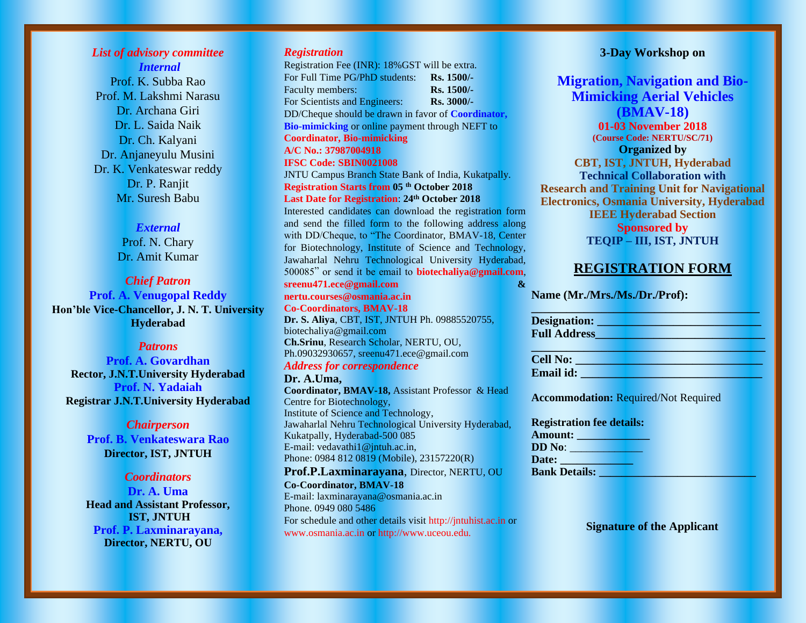## *List of advisory committee Internal*

Prof. K. Subba Rao Prof. M. Lakshmi Narasu Dr. Archana Giri Dr. L. Saida Naik Dr. Ch. Kalyani Dr. Anjaneyulu Musini Dr. K. Venkateswar reddy Dr. P. Ranjit Mr. Suresh Babu

#### *External*

Prof. N. Chary Dr. Amit Kumar

*Chief Patron* **Prof. A. Venugopal Reddy Hon'ble Vice-Chancellor, J. N. T. University Hyderabad**

#### *Patrons*

**Prof. A. Govardhan Rector, J.N.T.University Hyderabad Prof. N. Yadaiah Registrar J.N.T.University Hyderabad** 

#### *Chairperson*

**Prof. B. Venkateswara Rao Director, IST, JNTUH** 

#### *Coordinators*

**Dr. A. Uma Head and Assistant Professor, IST, JNTUH Prof. P. Laxminarayana, Director, NERTU, OU**

#### *Registration*

Registration Fee (INR): 18%GST will be extra. For Full Time PG/PhD students: **Rs. 1500/-** Faculty members: **Rs. 1500/-**For Scientists and Engineers: **Rs. 3000/-** DD/Cheque should be drawn in favor of **Coordinator, Bio-mimicking** or online payment through NEFT to **Coordinator, Bio-mimicking A/C No.: 37987004918 IFSC Code: SBIN0021008** JNTU Campus Branch State Bank of India, Kukatpally. **Registration Starts from 05 th October 2018 Last Date for Registration**: **24th October 2018** Interested candidates can download the registration form and send the filled form to the following address along with DD/Cheque, to "The Coordinator, BMAV-18, Center for Biotechnology, Institute of Science and Technology, Jawaharlal Nehru Technological University Hyderabad, 500085" or send it be email to **biotechaliya@gmail.com**, **[sreenu471.ece@gmail.com](mailto:sreenu471.ece@gmail.com) & nertu.courses@osmania.ac.in Co-Coordinators, BMAV-18 Dr. S. Aliya**, CBT, IST, JNTUH Ph. 09885520755, biotechaliya@gmail.com **Ch.Srinu**, Research Scholar, NERTU, OU, Ph.09032930657, sreenu471.ece@gmail.com *Address for correspondence*  **Dr. A.Uma, Coordinator, BMAV-18,** Assistant Professor & Head

Centre for Biotechnology, Institute of Science and Technology, Jawaharlal Nehru Technological University Hyderabad, Kukatpally, Hyderabad-500 085 E-mail: vedavathi1@jntuh.ac.in, Phone: 0984 812 0819 (Mobile), 23157220(R)

**Prof.P.Laxminarayana**, Director, NERTU, OU **Co-Coordinator, BMAV-18**  E-mail: laxminarayana@osmania.ac.in Phone. 0949 080 5486 For schedule and other details visit http://jntuhist.ac.in or www.osmania.ac.in or http://www.uceou.edu.

### **3-Day Workshop on**

**Migration, Navigation and Bio-Mimicking Aerial Vehicles (BMAV-18)**

**01-03 November 2018 (Course Code: NERTU/SC/71) Organized by CBT, IST, JNTUH, Hyderabad Technical Collaboration with Research and Training Unit for Navigational Electronics, Osmania University, Hyderabad IEEE Hyderabad Section Sponsored by TEQIP – III, IST, JNTUH**

## **REGISTRATION FORM**

**Name (Mr./Mrs./Ms./Dr./Prof):** 

**Designation: \_\_\_\_\_\_\_\_\_\_\_\_\_\_\_\_\_\_\_\_\_\_\_\_\_\_\_\_ Full Address\_\_\_\_\_\_\_\_\_\_\_\_\_\_\_\_\_\_\_\_\_\_\_\_\_\_\_\_\_** 

**\_\_\_\_\_\_\_\_\_\_\_\_\_\_\_\_\_\_\_\_\_\_\_\_\_\_\_\_\_\_\_\_\_\_\_\_\_\_\_** 

**\_\_\_\_\_\_\_\_\_\_\_\_\_\_\_\_\_\_\_\_\_\_\_\_\_\_\_\_\_\_\_\_\_\_\_\_\_\_\_\_ Cell No: \_\_\_\_\_\_\_\_\_\_\_\_\_\_\_\_\_\_\_\_\_\_\_\_\_\_\_\_\_\_\_\_ Email id:**  $\blacksquare$ 

**Accommodation:** Required/Not Required

| <b>Registration fee details:</b> |  |
|----------------------------------|--|
| Amount:                          |  |
| <b>DD</b> No:                    |  |
| Date:                            |  |
| <b>Bank Details:</b>             |  |

**Signature of the Applicant**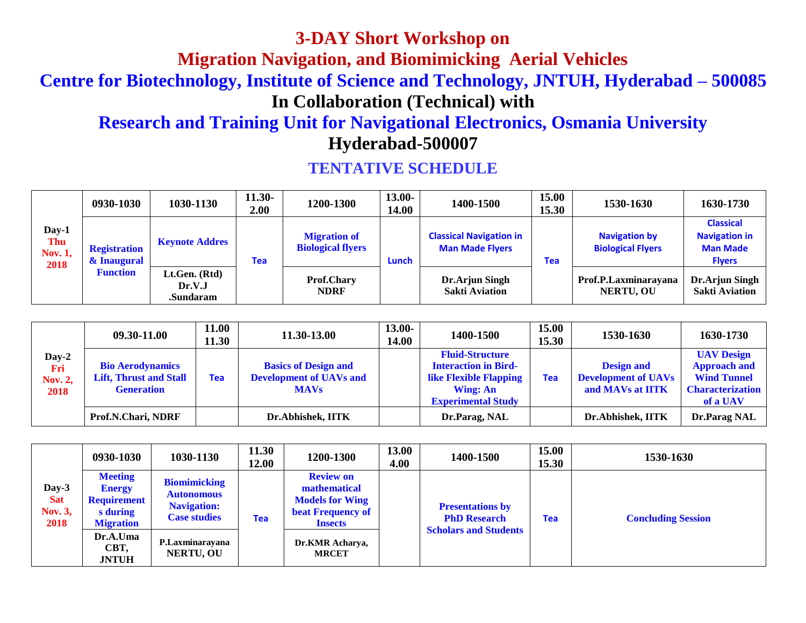**3-DAY Short Workshop on**

**Migration Navigation, and Biomimicking Aerial Vehicles**

**Centre for Biotechnology, Institute of Science and Technology, JNTUH, Hyderabad – 500085**

**In Collaboration (Technical) with**

# **Research and Training Unit for Navigational Electronics, Osmania University Hyderabad-500007**

|                                               | 0930-1030                          | 1030-1130                            | $11.30-$<br>2.00 | 1200-1300                                       | 13.00-<br>14.00 | 1400-1500                                                | 15.00<br>15.30 | 1530-1630                                        | 1630-1730                                                                    |
|-----------------------------------------------|------------------------------------|--------------------------------------|------------------|-------------------------------------------------|-----------------|----------------------------------------------------------|----------------|--------------------------------------------------|------------------------------------------------------------------------------|
| Day-1<br><b>Thu</b><br><b>Nov. 1,</b><br>2018 | <b>Registration</b><br>& Inaugural | <b>Keynote Addres</b>                | Tea              | <b>Migration of</b><br><b>Biological flyers</b> | Lunch           | <b>Classical Navigation in</b><br><b>Man Made Flyers</b> | <b>Tea</b>     | <b>Navigation by</b><br><b>Biological Flyers</b> | <b>Classical</b><br><b>Navigation in</b><br><b>Man Made</b><br><b>Flyers</b> |
|                                               | <b>Function</b>                    | Lt.Gen. (Rtd)<br>Dr.V.J<br>.Sundaram |                  | <b>Prof.Chary</b><br><b>NDRF</b>                |                 | Dr.Arjun Singh<br><b>Sakti Aviation</b>                  |                | Prof.P.Laxminarayana<br><b>NERTU, OU</b>         | Dr.Arjun Singh<br><b>Sakti Aviation</b>                                      |

## **TENTATIVE SCHEDULE**

|                                        | 09.30-11.00                                                                   | 11.00<br>11.30 | 11.30-13.00                                                                  | $13.00 -$<br>14.00 | 1400-1500                                                                                                                              | 15.00<br>15.30 | 1530-1630                                                           | 1630-1730                                                                                             |
|----------------------------------------|-------------------------------------------------------------------------------|----------------|------------------------------------------------------------------------------|--------------------|----------------------------------------------------------------------------------------------------------------------------------------|----------------|---------------------------------------------------------------------|-------------------------------------------------------------------------------------------------------|
| Day-2<br>Fri<br><b>Nov. 2,</b><br>2018 | <b>Bio Aerodynamics</b><br><b>Lift, Thrust and Stall</b><br><b>Generation</b> | <b>Tea</b>     | <b>Basics of Design and</b><br><b>Development of UAVs and</b><br><b>MAVs</b> |                    | <b>Fluid-Structure</b><br><b>Interaction in Bird-</b><br><b>like Flexible Flapping</b><br><b>Wing: An</b><br><b>Experimental Study</b> | Tea            | <b>Design and</b><br><b>Development of UAVs</b><br>and MAVs at IITK | <b>UAV Design</b><br><b>Approach and</b><br><b>Wind Tunnel</b><br><b>Characterization</b><br>of a UAV |
|                                        | Prof.N.Chari, NDRF                                                            |                | Dr.Abhishek, IITK                                                            |                    | Dr.Parag, NAL                                                                                                                          |                | Dr.Abhishek, IITK                                                   | Dr.Parag NAL                                                                                          |

|                                        | 0930-1030                                                                             | 1030-1130                                                                             | 11.30<br>12.00 | 1200-1300                                                                                                                                   | 13.00<br>4.00 | 1400-1500                                      | 15.00<br>15.30 | 1530-1630                 |
|----------------------------------------|---------------------------------------------------------------------------------------|---------------------------------------------------------------------------------------|----------------|---------------------------------------------------------------------------------------------------------------------------------------------|---------------|------------------------------------------------|----------------|---------------------------|
| Day-3<br><b>Sat</b><br>Nov. 3,<br>2018 | <b>Meeting</b><br><b>Energy</b><br><b>Requirement</b><br>s during<br><b>Migration</b> | <b>Biomimicking</b><br><b>Autonomous</b><br><b>Navigation:</b><br><b>Case studies</b> | Tea            | <b>Review on</b><br>mathematical<br><b>Models for Wing</b><br><b>beat Frequency of</b><br><b>Insects</b><br>Dr.KMR Acharya,<br><b>MRCET</b> |               | <b>Presentations by</b><br><b>PhD Research</b> | <b>Tea</b>     | <b>Concluding Session</b> |
|                                        | Dr.A.Uma<br>CBT,<br><b>JNTUH</b>                                                      | P.Laxminarayana<br><b>NERTU, OU</b>                                                   |                |                                                                                                                                             |               | <b>Scholars and Students</b>                   |                |                           |